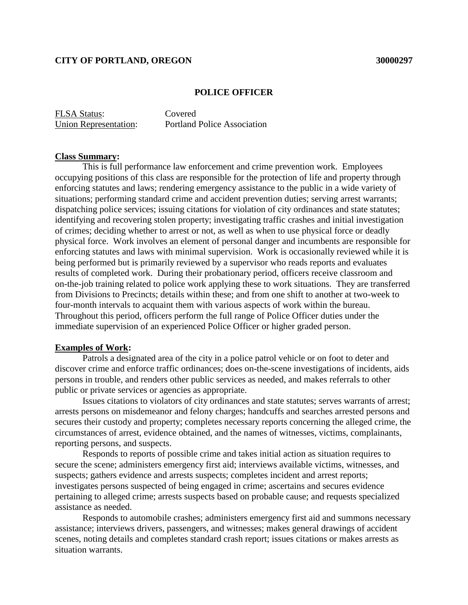# **CITY OF PORTLAND, OREGON 30000297**

#### **POLICE OFFICER**

FLSA Status: Covered

Union Representation: Portland Police Association

### **Class Summary:**

This is full performance law enforcement and crime prevention work. Employees occupying positions of this class are responsible for the protection of life and property through enforcing statutes and laws; rendering emergency assistance to the public in a wide variety of situations; performing standard crime and accident prevention duties; serving arrest warrants; dispatching police services; issuing citations for violation of city ordinances and state statutes; identifying and recovering stolen property; investigating traffic crashes and initial investigation of crimes; deciding whether to arrest or not, as well as when to use physical force or deadly physical force. Work involves an element of personal danger and incumbents are responsible for enforcing statutes and laws with minimal supervision. Work is occasionally reviewed while it is being performed but is primarily reviewed by a supervisor who reads reports and evaluates results of completed work. During their probationary period, officers receive classroom and on-the-job training related to police work applying these to work situations. They are transferred from Divisions to Precincts; details within these; and from one shift to another at two-week to four-month intervals to acquaint them with various aspects of work within the bureau. Throughout this period, officers perform the full range of Police Officer duties under the immediate supervision of an experienced Police Officer or higher graded person.

# **Examples of Work:**

Patrols a designated area of the city in a police patrol vehicle or on foot to deter and discover crime and enforce traffic ordinances; does on-the-scene investigations of incidents, aids persons in trouble, and renders other public services as needed, and makes referrals to other public or private services or agencies as appropriate.

Issues citations to violators of city ordinances and state statutes; serves warrants of arrest; arrests persons on misdemeanor and felony charges; handcuffs and searches arrested persons and secures their custody and property; completes necessary reports concerning the alleged crime, the circumstances of arrest, evidence obtained, and the names of witnesses, victims, complainants, reporting persons, and suspects.

Responds to reports of possible crime and takes initial action as situation requires to secure the scene; administers emergency first aid; interviews available victims, witnesses, and suspects; gathers evidence and arrests suspects; completes incident and arrest reports; investigates persons suspected of being engaged in crime; ascertains and secures evidence pertaining to alleged crime; arrests suspects based on probable cause; and requests specialized assistance as needed.

Responds to automobile crashes; administers emergency first aid and summons necessary assistance; interviews drivers, passengers, and witnesses; makes general drawings of accident scenes, noting details and completes standard crash report; issues citations or makes arrests as situation warrants.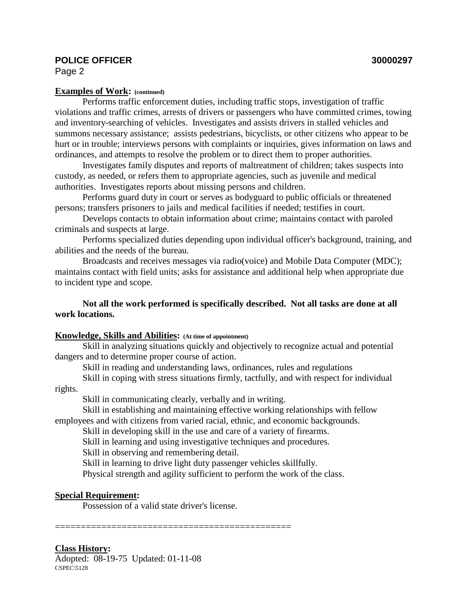# **POLICE OFFICER 30000297**

Page 2

# **Examples of Work: (continued)**

Performs traffic enforcement duties, including traffic stops, investigation of traffic violations and traffic crimes, arrests of drivers or passengers who have committed crimes, towing and inventory-searching of vehicles. Investigates and assists drivers in stalled vehicles and summons necessary assistance; assists pedestrians, bicyclists, or other citizens who appear to be hurt or in trouble; interviews persons with complaints or inquiries, gives information on laws and ordinances, and attempts to resolve the problem or to direct them to proper authorities.

Investigates family disputes and reports of maltreatment of children; takes suspects into custody, as needed, or refers them to appropriate agencies, such as juvenile and medical authorities. Investigates reports about missing persons and children.

Performs guard duty in court or serves as bodyguard to public officials or threatened persons; transfers prisoners to jails and medical facilities if needed; testifies in court.

Develops contacts to obtain information about crime; maintains contact with paroled criminals and suspects at large.

Performs specialized duties depending upon individual officer's background, training, and abilities and the needs of the bureau.

Broadcasts and receives messages via radio(voice) and Mobile Data Computer (MDC); maintains contact with field units; asks for assistance and additional help when appropriate due to incident type and scope.

**Not all the work performed is specifically described. Not all tasks are done at all work locations.**

## **Knowledge, Skills and Abilities: (At time of appointment)**

Skill in analyzing situations quickly and objectively to recognize actual and potential dangers and to determine proper course of action.

Skill in reading and understanding laws, ordinances, rules and regulations

Skill in coping with stress situations firmly, tactfully, and with respect for individual rights.

Skill in communicating clearly, verbally and in writing.

Skill in establishing and maintaining effective working relationships with fellow employees and with citizens from varied racial, ethnic, and economic backgrounds.

Skill in developing skill in the use and care of a variety of firearms.

Skill in learning and using investigative techniques and procedures.

Skill in observing and remembering detail.

Skill in learning to drive light duty passenger vehicles skillfully.

Physical strength and agility sufficient to perform the work of the class.

# **Special Requirement:**

Possession of a valid state driver's license.

==============================================

**Class History:**

Adopted: 08-19-75 Updated: 01-11-08  $CSPEC\$ 5128